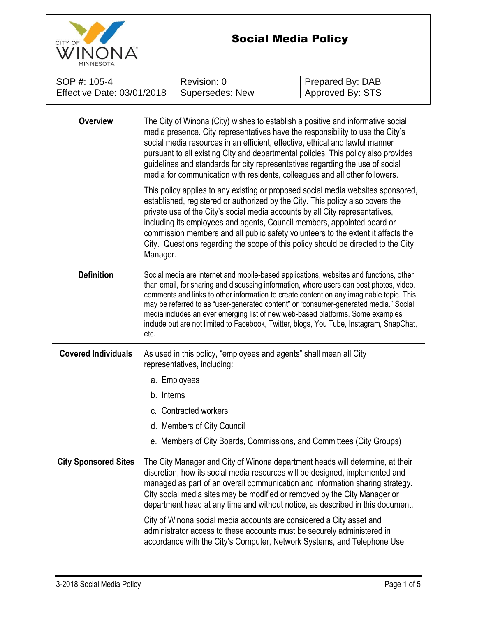

## Social Media Policy

| SOP #: 105-4               | Revision: 0     | Prepared By: DAB |
|----------------------------|-----------------|------------------|
| Effective Date: 03/01/2018 | Supersedes: New | Approved By: STS |

| <b>Overview</b>             | The City of Winona (City) wishes to establish a positive and informative social<br>media presence. City representatives have the responsibility to use the City's<br>social media resources in an efficient, effective, ethical and lawful manner<br>pursuant to all existing City and departmental policies. This policy also provides<br>guidelines and standards for city representatives regarding the use of social<br>media for communication with residents, colleagues and all other followers.<br>This policy applies to any existing or proposed social media websites sponsored,<br>established, registered or authorized by the City. This policy also covers the<br>private use of the City's social media accounts by all City representatives,<br>including its employees and agents, Council members, appointed board or<br>commission members and all public safety volunteers to the extent it affects the<br>City. Questions regarding the scope of this policy should be directed to the City<br>Manager. |
|-----------------------------|-------------------------------------------------------------------------------------------------------------------------------------------------------------------------------------------------------------------------------------------------------------------------------------------------------------------------------------------------------------------------------------------------------------------------------------------------------------------------------------------------------------------------------------------------------------------------------------------------------------------------------------------------------------------------------------------------------------------------------------------------------------------------------------------------------------------------------------------------------------------------------------------------------------------------------------------------------------------------------------------------------------------------------|
| <b>Definition</b>           | Social media are internet and mobile-based applications, websites and functions, other<br>than email, for sharing and discussing information, where users can post photos, video,<br>comments and links to other information to create content on any imaginable topic. This<br>may be referred to as "user-generated content" or "consumer-generated media." Social<br>media includes an ever emerging list of new web-based platforms. Some examples<br>include but are not limited to Facebook, Twitter, blogs, You Tube, Instagram, SnapChat,<br>etc.                                                                                                                                                                                                                                                                                                                                                                                                                                                                     |
| <b>Covered Individuals</b>  | As used in this policy, "employees and agents" shall mean all City<br>representatives, including:<br>a. Employees<br>b. Interns<br>c. Contracted workers<br>d. Members of City Council<br>e. Members of City Boards, Commissions, and Committees (City Groups)                                                                                                                                                                                                                                                                                                                                                                                                                                                                                                                                                                                                                                                                                                                                                                |
| <b>City Sponsored Sites</b> | The City Manager and City of Winona department heads will determine, at their<br>discretion, how its social media resources will be designed, implemented and<br>managed as part of an overall communication and information sharing strategy.<br>City social media sites may be modified or removed by the City Manager or<br>department head at any time and without notice, as described in this document.<br>City of Winona social media accounts are considered a City asset and<br>administrator access to these accounts must be securely administered in<br>accordance with the City's Computer, Network Systems, and Telephone Use                                                                                                                                                                                                                                                                                                                                                                                   |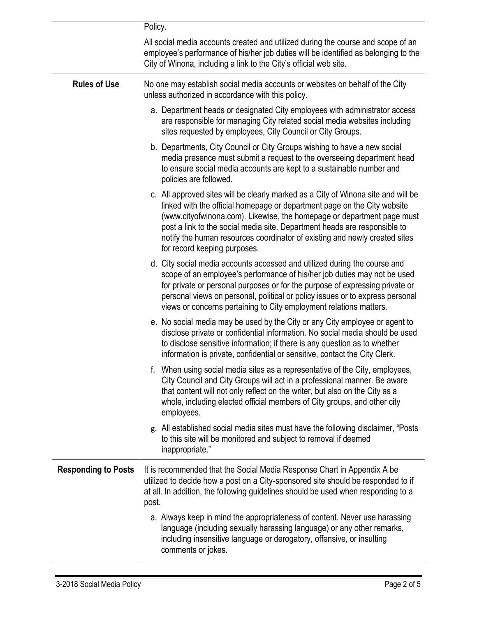|                            | Policy.                                                                                                                                                                                                                                                                                                                                                                                                                            |
|----------------------------|------------------------------------------------------------------------------------------------------------------------------------------------------------------------------------------------------------------------------------------------------------------------------------------------------------------------------------------------------------------------------------------------------------------------------------|
|                            | All social media accounts created and utilized during the course and scope of an<br>employee's performance of his/her job duties will be identified as belonging to the<br>City of Winona, including a link to the City's official web site.                                                                                                                                                                                       |
| <b>Rules of Use</b>        | No one may establish social media accounts or websites on behalf of the City<br>unless authorized in accordance with this policy.                                                                                                                                                                                                                                                                                                  |
|                            | a. Department heads or designated City employees with administrator access<br>are responsible for managing City related social media websites including<br>sites requested by employees, City Council or City Groups.                                                                                                                                                                                                              |
|                            | b. Departments, City Council or City Groups wishing to have a new social<br>media presence must submit a request to the overseeing department head<br>to ensure social media accounts are kept to a sustainable number and<br>policies are followed.                                                                                                                                                                               |
|                            | c. All approved sites will be clearly marked as a City of Winona site and will be<br>linked with the official homepage or department page on the City website<br>(www.cityofwinona.com). Likewise, the homepage or department page must<br>post a link to the social media site. Department heads are responsible to<br>notify the human resources coordinator of existing and newly created sites<br>for record keeping purposes. |
|                            | d. City social media accounts accessed and utilized during the course and<br>scope of an employee's performance of his/her job duties may not be used<br>for private or personal purposes or for the purpose of expressing private or<br>personal views on personal, political or policy issues or to express personal<br>views or concerns pertaining to City employment relations matters.                                       |
|                            | e. No social media may be used by the City or any City employee or agent to<br>disclose private or confidential information. No social media should be used<br>to disclose sensitive information; if there is any question as to whether<br>information is private, confidential or sensitive, contact the City Clerk.                                                                                                             |
|                            | f. When using social media sites as a representative of the City, employees,<br>City Council and City Groups will act in a professional manner. Be aware<br>that content will not only reflect on the writer, but also on the City as a<br>whole, including elected official members of City groups, and other city<br>employees.                                                                                                  |
|                            | g. All established social media sites must have the following disclaimer, "Posts"<br>to this site will be monitored and subject to removal if deemed<br>inappropriate."                                                                                                                                                                                                                                                            |
| <b>Responding to Posts</b> | It is recommended that the Social Media Response Chart in Appendix A be<br>utilized to decide how a post on a City-sponsored site should be responded to if<br>at all. In addition, the following guidelines should be used when responding to a<br>post.                                                                                                                                                                          |
|                            | a. Always keep in mind the appropriateness of content. Never use harassing<br>language (including sexually harassing language) or any other remarks,<br>including insensitive language or derogatory, offensive, or insulting<br>comments or jokes.                                                                                                                                                                                |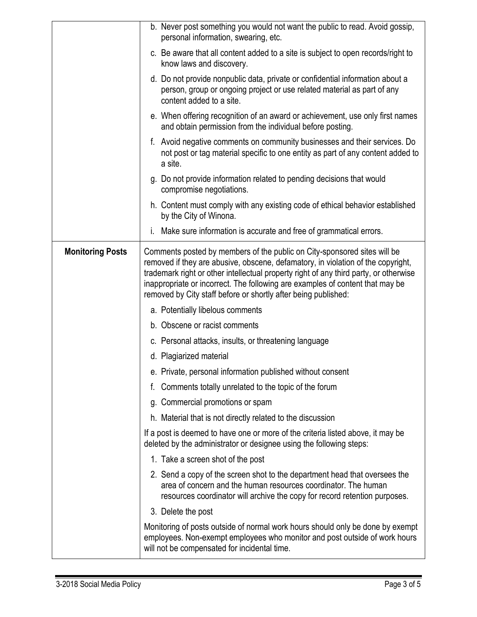|                         | b. Never post something you would not want the public to read. Avoid gossip,<br>personal information, swearing, etc.                                                                                                                                                                                                                                                                                     |
|-------------------------|----------------------------------------------------------------------------------------------------------------------------------------------------------------------------------------------------------------------------------------------------------------------------------------------------------------------------------------------------------------------------------------------------------|
|                         | c. Be aware that all content added to a site is subject to open records/right to<br>know laws and discovery.                                                                                                                                                                                                                                                                                             |
|                         | d. Do not provide nonpublic data, private or confidential information about a<br>person, group or ongoing project or use related material as part of any<br>content added to a site.                                                                                                                                                                                                                     |
|                         | e. When offering recognition of an award or achievement, use only first names<br>and obtain permission from the individual before posting.                                                                                                                                                                                                                                                               |
|                         | f. Avoid negative comments on community businesses and their services. Do<br>not post or tag material specific to one entity as part of any content added to<br>a site.                                                                                                                                                                                                                                  |
|                         | g. Do not provide information related to pending decisions that would<br>compromise negotiations.                                                                                                                                                                                                                                                                                                        |
|                         | h. Content must comply with any existing code of ethical behavior established<br>by the City of Winona.                                                                                                                                                                                                                                                                                                  |
|                         | i. Make sure information is accurate and free of grammatical errors.                                                                                                                                                                                                                                                                                                                                     |
| <b>Monitoring Posts</b> | Comments posted by members of the public on City-sponsored sites will be<br>removed if they are abusive, obscene, defamatory, in violation of the copyright,<br>trademark right or other intellectual property right of any third party, or otherwise<br>inappropriate or incorrect. The following are examples of content that may be<br>removed by City staff before or shortly after being published: |
|                         | a. Potentially libelous comments                                                                                                                                                                                                                                                                                                                                                                         |
|                         | b. Obscene or racist comments                                                                                                                                                                                                                                                                                                                                                                            |
|                         | c. Personal attacks, insults, or threatening language                                                                                                                                                                                                                                                                                                                                                    |
|                         | d. Plagiarized material                                                                                                                                                                                                                                                                                                                                                                                  |
|                         | e. Private, personal information published without consent                                                                                                                                                                                                                                                                                                                                               |
|                         | Comments totally unrelated to the topic of the forum<br>f.                                                                                                                                                                                                                                                                                                                                               |
|                         | g. Commercial promotions or spam                                                                                                                                                                                                                                                                                                                                                                         |
|                         | h. Material that is not directly related to the discussion                                                                                                                                                                                                                                                                                                                                               |
|                         | If a post is deemed to have one or more of the criteria listed above, it may be<br>deleted by the administrator or designee using the following steps:                                                                                                                                                                                                                                                   |
|                         | 1. Take a screen shot of the post                                                                                                                                                                                                                                                                                                                                                                        |
|                         | 2. Send a copy of the screen shot to the department head that oversees the<br>area of concern and the human resources coordinator. The human<br>resources coordinator will archive the copy for record retention purposes.                                                                                                                                                                               |
|                         | 3. Delete the post                                                                                                                                                                                                                                                                                                                                                                                       |
|                         | Monitoring of posts outside of normal work hours should only be done by exempt<br>employees. Non-exempt employees who monitor and post outside of work hours<br>will not be compensated for incidental time.                                                                                                                                                                                             |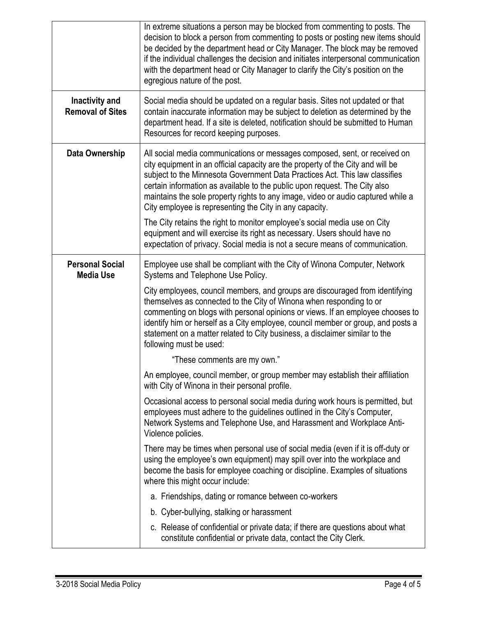|                                            | In extreme situations a person may be blocked from commenting to posts. The<br>decision to block a person from commenting to posts or posting new items should<br>be decided by the department head or City Manager. The block may be removed<br>if the individual challenges the decision and initiates interpersonal communication<br>with the department head or City Manager to clarify the City's position on the<br>egregious nature of the post.                   |
|--------------------------------------------|---------------------------------------------------------------------------------------------------------------------------------------------------------------------------------------------------------------------------------------------------------------------------------------------------------------------------------------------------------------------------------------------------------------------------------------------------------------------------|
| Inactivity and<br><b>Removal of Sites</b>  | Social media should be updated on a regular basis. Sites not updated or that<br>contain inaccurate information may be subject to deletion as determined by the<br>department head. If a site is deleted, notification should be submitted to Human<br>Resources for record keeping purposes.                                                                                                                                                                              |
| Data Ownership                             | All social media communications or messages composed, sent, or received on<br>city equipment in an official capacity are the property of the City and will be<br>subject to the Minnesota Government Data Practices Act. This law classifies<br>certain information as available to the public upon request. The City also<br>maintains the sole property rights to any image, video or audio captured while a<br>City employee is representing the City in any capacity. |
|                                            | The City retains the right to monitor employee's social media use on City<br>equipment and will exercise its right as necessary. Users should have no<br>expectation of privacy. Social media is not a secure means of communication.                                                                                                                                                                                                                                     |
| <b>Personal Social</b><br><b>Media Use</b> | Employee use shall be compliant with the City of Winona Computer, Network<br>Systems and Telephone Use Policy.                                                                                                                                                                                                                                                                                                                                                            |
|                                            | City employees, council members, and groups are discouraged from identifying<br>themselves as connected to the City of Winona when responding to or<br>commenting on blogs with personal opinions or views. If an employee chooses to<br>identify him or herself as a City employee, council member or group, and posts a<br>statement on a matter related to City business, a disclaimer similar to the<br>following must be used:                                       |
|                                            | "These comments are my own."                                                                                                                                                                                                                                                                                                                                                                                                                                              |
|                                            | An employee, council member, or group member may establish their affiliation<br>with City of Winona in their personal profile.                                                                                                                                                                                                                                                                                                                                            |
|                                            | Occasional access to personal social media during work hours is permitted, but<br>employees must adhere to the guidelines outlined in the City's Computer,<br>Network Systems and Telephone Use, and Harassment and Workplace Anti-<br>Violence policies.                                                                                                                                                                                                                 |
|                                            | There may be times when personal use of social media (even if it is off-duty or<br>using the employee's own equipment) may spill over into the workplace and<br>become the basis for employee coaching or discipline. Examples of situations<br>where this might occur include:                                                                                                                                                                                           |
|                                            | a. Friendships, dating or romance between co-workers                                                                                                                                                                                                                                                                                                                                                                                                                      |
|                                            | b. Cyber-bullying, stalking or harassment                                                                                                                                                                                                                                                                                                                                                                                                                                 |
|                                            | c. Release of confidential or private data; if there are questions about what<br>constitute confidential or private data, contact the City Clerk.                                                                                                                                                                                                                                                                                                                         |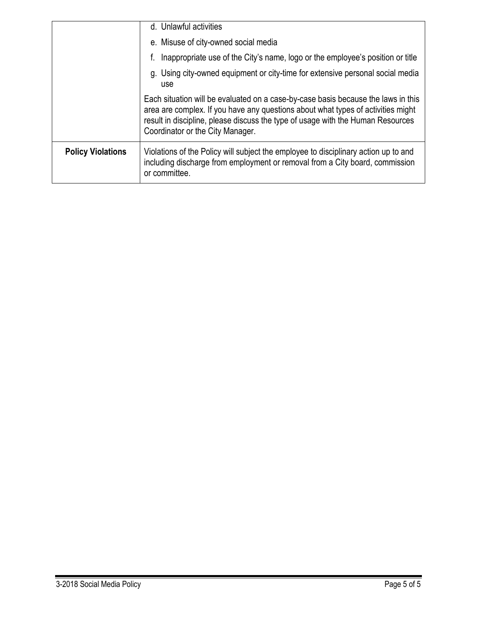|                          | d. Unlawful activities                                                                                                                                                                                                                                                                       |
|--------------------------|----------------------------------------------------------------------------------------------------------------------------------------------------------------------------------------------------------------------------------------------------------------------------------------------|
|                          | e. Misuse of city-owned social media                                                                                                                                                                                                                                                         |
|                          | Inappropriate use of the City's name, logo or the employee's position or title                                                                                                                                                                                                               |
|                          | g. Using city-owned equipment or city-time for extensive personal social media<br>use                                                                                                                                                                                                        |
|                          | Each situation will be evaluated on a case-by-case basis because the laws in this<br>area are complex. If you have any questions about what types of activities might<br>result in discipline, please discuss the type of usage with the Human Resources<br>Coordinator or the City Manager. |
| <b>Policy Violations</b> | Violations of the Policy will subject the employee to disciplinary action up to and<br>including discharge from employment or removal from a City board, commission<br>or committee.                                                                                                         |